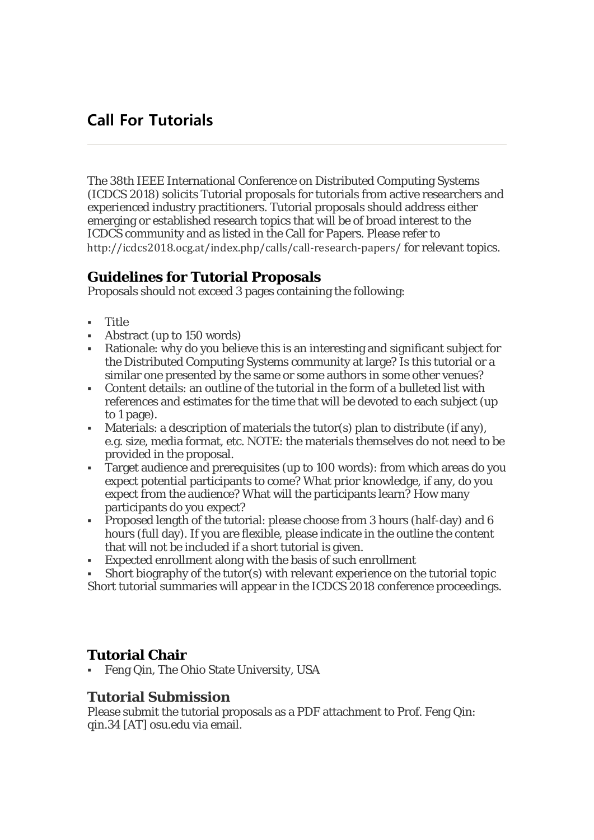# **Call For Tutorials**

The 38th IEEE International Conference on Distributed Computing Systems (ICDCS 2018) solicits Tutorial proposals for tutorials from active researchers and experienced industry practitioners. Tutorial proposals should address either emerging or established research topics that will be of broad interest to the ICDCS community and as listed in the Call for Papers. Please refer to http://icdcs2018.ocg.at/index.php/calls/call-research-papers/ for relevant topics.

## **Guidelines for Tutorial Proposals**

Proposals should not exceed 3 pages containing the following:

- Title
- Abstract (up to 150 words)
- Rationale: why do you believe this is an interesting and significant subject for the Distributed Computing Systems community at large? Is this tutorial or a similar one presented by the same or some authors in some other venues?
- Content details: an outline of the tutorial in the form of a bulleted list with references and estimates for the time that will be devoted to each subject (up to 1 page).
- Materials: a description of materials the tutor(s) plan to distribute (if any), e.g. size, media format, etc. NOTE: the materials themselves do not need to be provided in the proposal.
- Target audience and prerequisites (up to 100 words): from which areas do you expect potential participants to come? What prior knowledge, if any, do you expect from the audience? What will the participants learn? How many participants do you expect?
- Proposed length of the tutorial: please choose from 3 hours (half-day) and 6 hours (full day). If you are flexible, please indicate in the outline the content that will not be included if a short tutorial is given.
- Expected enrollment along with the basis of such enrollment
- Short biography of the tutor(s) with relevant experience on the tutorial topic Short tutorial summaries will appear in the ICDCS 2018 conference proceedings.

# **Tutorial Chair**

Feng Qin, The Ohio State University, USA

#### **Tutorial Submission**

Please submit the tutorial proposals as a PDF attachment to Prof. Feng Qin: qin.34 [AT] osu.edu via email.